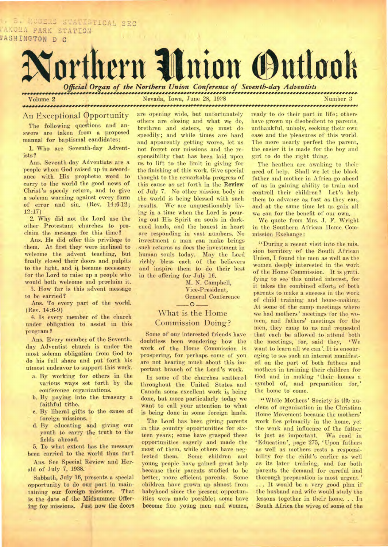B. ROUERS STATISTICAL SEC TAKONA PARK STATION N1SHINGTON D C



**Volume 2** Nevada, Iowa, June 28, 1938 Number 3

# An Exceptional Opportunity

The following questions and answers are taken from a proposed manual for baptismal candidates:

1. Who are Seventh-day Adventists?

Ans. Seventh-day Adventists are a people whom God raised up in accordance with His prophetic word to carry to the world the good news of Christ's speedy return, and to give a solemn warning against every form of error and sin. (Rev. 14:6-12; 12 :17)

2. Why did not the Lord use the other Protestant churches to proclaim the message for this time?

Ans. He did offer this privilege to them. At first they were inclined to welcome the advent teaching, but finally closed their doors and pulpits to the light, and it became necessary for the Lord to raise up a people who would both welcome and proclaim it.

3. How far is this advent message to be carried?

Ans. To every part of the world. (Rev. 14:6-9)

4. Is every member of the church under obligation to assist in this program ?

Ans. Every member of the Seventhday Adventist church is under the most solemn obligation from God to do his full share and put forth his utmost endeavor to support this work.

- a. By working for others in the various ways set forth by the conference organizations.
- b. By paying into the treasury a faithful tithe.
- c. By liberal gifts to the cause of foreign missions.
- d. By educating and giving our youth to carry the truth to the fields abroad.

5. To what extent has the message been carried to the world thus far? Ans. See Special Review and Her-

ald of July 7, 1938. Sabbath, July 16, presents a special

opportunity to do our part in main-<br>taining our foreign missions. That taining our foreign missions. is the date of the Midsummer Offiering for missions. Just **now the doors** 

are opening wide, but unfortunately others are closing and what **we** do, brethren and sisters, we must do speedily; and while times are hard and apparently getting worse, let us not forget our missions and the responsibility that has been laid upon us to lift to the limit in giving for the finishing of this work. Give special thought to the remarkable progress of this cause as set forth in the **Review**  of July 7. No other mission body in the world is being blessed with such results. We' are unquestionably living in a time when the Lord is pouring out His Spirit on souls in darkened lands, and the honest in heart are responding in vast numbers. No investment a man can make brings such returns as does the investment in human souls today. May the Lord richly bless each of the believers and inspire them to do their best in the offering for July 16.

> M. N. Campbell, Vice-President, General Conference  $-0-$

# What is the Home Commission. Doing?

Some of our interested friends have doubtless been wondering how the work of the Home Commission is prospering, for perhaps some of you are not hearing much about this important branch of the Lord's work.

In some of the churches scattered throughout the United States and Canada some excellent work is being done, but more particularly today we want to call your attention to what is being done in some foreign lands.

The Lord has been giving parents in this country opportunities for sixteen years; some have grasped these opportunities eagerly and made the most of them, while others have neg-<br>lected them. Some children and Some children and young people have gained great help because their parents studied to be better, more efficient parents. Some children have grown up almost front babyhood since the present opportunities were made possible; some have become fine young men and women,

ready to do their part in life; others have grown up disobedient to parents, unthankful, unholy, seeking their own ease and the pleasures of this world. The more nearly perfect the parent, the easier it is made for the boy and girl to do the right thing.

The heathen are awaking to their need of help. Shall we let the black father and mother in Africa go ahead of us in gaining ability to train and controll their children? Let's help them to advance as fast as they can, and at the same time let us gain all we can for the benefit of our own.

We quote from Mrs. J. F. Wright in the Southern African Home Commission Exchange:

"During a recent visit into the mission territory of the South African Union, I found the men as well as the women deeply interested in the work of the Home Commission. It is gratifying to see this united interest, for it takes the combined efforts of both parents to make a success in the work of child training and home-making. At some of the camp meetings where we had mothers' meetings for the women, and fathers' meetings for the men, they camp to us and requested that each be allowed to attend both the meetings, for, said they, 'We want to learn all we can'. It is encouraging to see such an interest manifested on the part of both fathers and mothers in training their children for God and in making 'their homes a symbol of, and preparation for,' the home to' come.

"While Mothers' Society is fife nucleus of organization in the Christian Home MOvement because the mothers' work lies primarily in the home, yet the work and influence of the father is just as important. We read in `Education', page 275, 'Upon fathers as well as mothers rests a responsibility for the child's earlier as well as its later training, and for both parents the demand for careful and thorough preparation is most urgent.' ... It would be a very good plan if the husband and wife would study the lessons together in their home. . . In **South Africa the wives of some of the**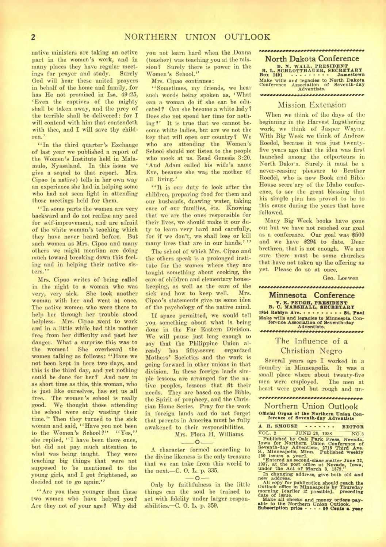native ministers are taking an active part in the women's work, and in many places they have regular meetings for prayer and study. Surely God will hear these united prayers in behalf of the home and family, for has He not promised in Isa. 49:25, `Even the captives of the mighty shall be taken away, and the prey of the terrible shall be delivered: for I will contend with him that contendeth with thee, and I will save thy children.'

"In the third quarter's Exchange of last year we published a report of the Women's Institute held in Malamulo, Nyasaland. In this issue we give a sequel to that report. Mrs. Cipao (a native) tells in her own way an experience she had in, helping some who had not seen light in attending those meetings held for them.

"In some parts the women are very backward and do not realize any need for self-improvement, and are afraid of the white woman's teaching which they have never heard before. But such women as Mrs. Cipao and many others we might mention are doing much toward breaking down this feeling and in helping their native sisters."

Mrs. Cipao writes of being called in the night to a woman who was very, very sick. She took another woman with her and went at once. The native women who were there to help her through her trouble stood helpless. Mrs. Cipao went to work and in a little while, had this mother free from her difficulty and past her danger. What a surprise this **was** to the women! She overheard the women talking as follows: "Have we not been kept in here two days, and this is the third day, and yet nothing could be done for her? And now in as short time as this, this woman, who is just like ourselves, has set us all free. The women's school is really good. We thought those attending We thought those attending the school were only wasting their time." Then they turned to the sick woman and said, "Have you not been to the Women's School?" "Yes," she replied, "I have been there once, but did not pay much attention to what was being taught. They were teaching big things that were not supposed to be mentioned to the young girls, and I got frightened, so decided not to go again."

"Are you then younger than these two women who have helped you? Are they not of your age? Why **did** 

you not learn hard when the .Donna (teacher) was teaching you at the mission? Surely there is power in the Women's School."

Mrs. Cipao continues:

"Sometimes, my friends, we hear such words being spoken as, 'What can a woman do if she can be educated? Can she become a white lady? Does she not spend her time for nothing?' It is true that we cannot become white ladies, but are we not the key that will open our country? We who are attending the Women's School should not listen to the people who mock at us. Read Genesis 3:20. 'And Adam called his wife's name Eve, because she was the mother of all living.'

"It is our duty to look after the children, preparing food for them and our husbands, drawing water, taking care of our families, etc. Knowing that we are the ones responsible for their lives, we should make it our duty to learn very hard and carefully, for if we don't, we shall lose or kill many lives that are in our hands.'"

The school of which Mrs. Cipao and the others speak is a prolonged institute for the women where they are taught something about cooking, the care of children and elementary housekeeping, as well as the care of the sick and how to keep well. Mrs. Cipao's statements give us some idea of the psychology of the native mind.

If space permitted, we would tell you something about what is being done in the Far Eastern Division. We will pause just long enough to say that the Philippine Union already has fifty-seven organized Mothers' Societies and the work is going forward in other unions in that division. In these foreign lands simple lessons are arranged for the native peoples, lessons that fit their needs. They are based on the Bible, the Spirit of prophecy, and the Christian Home Series. Pray for the work in foreign lands and do not forget that parents in Amerita must be fully awakened to their responsibilities. Mrs. Flora H. Williams.

—**0**—

A character formed according to the divine likeness is the only treasure that we can take from this world to the next.—C. 0. **L.** p. 335.

 $-0-$ 

Only by faithfulness in the little things can the soul be trained to act with fidelity under larger responsibilities.—C. **O. L.** p. 359.

## ,,,,,,,,,,,,,,,,,,,,,,,,,,,,,,,,,, **North Dakota Conference**

**D. N. WALL, PRESIDENT<br>
Box 1491 C. C. C. B. Jamestown Make wills and legacies to North Dakota Conference Association of Seventh-day Adventists.**  ••••••••••••••••••••••••••

### Mission Extension

When we think of the days of the beginning in the Harvest Ingathering work, we think of Jasper Wayne. With Big Week we think, of Andrew Roedel, because it was just twentyfive years ago that the idea was first launched among the colporteurs in North Dakota. Surely it must be a never-ceasing. pleasure to Brother Roedel, who is now Book and Bible House secre' ary of the Idaho conference, to see the great blessing that his simple *lan* has proved to be to this cause during the years that have followed.

Many Big Week books have gone out but we have not reached our goal as a conference. Our goal was \$500 and we have \$294 to date. Dear brethren, that is not enough. We are sure there must be some churches that have not taken up the offering as yet. Please do so at once.

Geo. Loewen

**Minnesota Conference V. E. PEUGH, PRESIDENT<br>
B. C. MARSHALL, SECRETARY<br>
1854 Roblyn Ave. . . . . . . . . . . 8t. Paul Make wills and legacies to Minnesota Conference Association of Seventh-day Adventists.** 

IN•0#4,41.04•0004,000~~#04•••••••••INIVIVNIY•

# The Influence of a Christian Negro

Several years ago I worked in a foundry in Minneapolis. It was a small place where about twenty-five<br>men were employed. The men at men were employed. heart were good but rough and un-

#### 

Northern Union Outlook **Official Organ of the Northern Union Con-ference of Seventh-day Adventists** 

**A R. SMOUSE ....... EDITOR**<br> **VOL. 2** JUNE 28, 1938 NO.3 VOL. 2 JUNE 28, 1938 NO.3<br>
Published by Oak Park Press, Nevada,<br>
Iowa for Northern Union Conference of<br>
Seventh-day Adventists, 2718 Third Ave.<br>
5. Minneapolis, Minn. Published weekly<br>
15 issues a year].<br>
"Entered as secon

**1937, at the post office at Nevada, Iowa. under the Act of March 3, 1879."** 

In changing address, give both old and<br>new address.<br>All copy for publication should reach the<br>Outlook office in Minneapolis by Thursday<br>morning [earlier if possible], preceding<br>date of issue.

**Make all checks and money orders pay-**<br> **able to the Northern Union Outlook.**<br> **Subscription price - - - - IC Cents a year**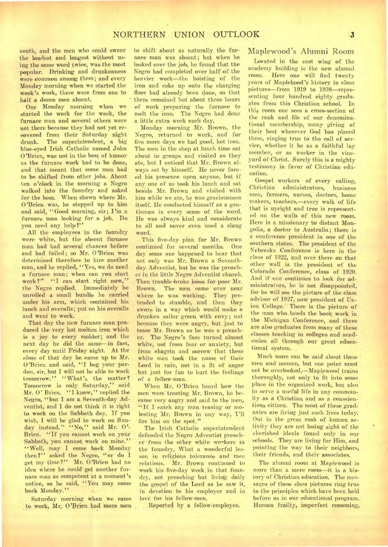couth, and the men who could swear the loudest and longest without using the same word twice, was the most popular. Drinking and drunkenness were common among them; and every-Monday morning when we started the *week's* work, there were from one to half a dozen men absent.

One Monday morning when we started the work for the week, the furnace man and several others were not there because they had not yet recovered from their Saturday night drunk. The superintendent, a big blue-eyed Irish Catholic named John O'Brien, was not in the best of humor as the furnace work had to be done, and that meant that some men had to be shifted from other jobs. About ten o'clock in the morning a Negro walked into the foundry and asked for the boss. When shown where Mr. O'Brien was, he stepped up to him and said, "Good morning, sir; I'm a furnace man looking for a job. Do you need any help?"

All the employees in the foundry were white, but the absent furnace man had had several chances before and had failed; so Mr. O'Brien was determined therefore to hire another man, and he replied, "Yes, we do need a furnace man; when can you start work?" "I can start right now," the Negro replied. Immediately he unrolled a small bundle he carried under his arm, which contained his lunch and overalls; put on his overalls and went to work.

That day the new furnace man produced the very hot molten iron which is a joy to every molder; and the next day he did the same—in fact, every day until Friday night. At the close of that day he came up to Mr. O'Brien and said, "I beg your pardon, sir, but I will not be able to work tomorrow." "What's the matter? Tomorrow is only Saturday," said Mr. 0' Brien. "I know," replied the Negro, "but I am a Seventh-day Adventist, and I do not think it is right to work on the Sabbath day. If you wish, I will be glad to work on Sunday instead." "No," said Mr. O'-Brien. "If you cannot work on your Sabbath, you cannot work on mine." "Well, may I come back Monday then?" asked the Negro, "or do I get my time?" Mr. O'Brien had no idea where he could get another furnace man as competent at a moment's notice, so he said, "You may come back Monday."

Saturday morning when we came to work, Mr. O'Brien had more men

to shift about as naturally the furnace man was absent; but when he looked over the job, he found that the Negro had completed over half of the heavier work—the hoisting of the iron and coke up onto the charging floor had already been done, so that there remained but about three hours of work preparing the furnace to melt the iron. The Negro had done a little extra work each day.

Monday morning Mr. Brown, the Negro, returned to work, and for five more days we had good, hot iron. The men in the shop at lunch time sat about in groups and visited as they ate, but I noticed that Mr. Brown always sat by himself. He never forced his presence upon anyone, but if any one of us took his lunch and sat beside Mr. Brown and visited with him while we ate, he was graciousness itself. He conducted himself as a gentleman in every sense of the word. He was always kind and considerate to all and never even used a slang word.

This five-day plan for Mr. Brown continued for several months. One day some one happened to hear that not only was Mr. Brown a Seventhday Adventist, but he was the preacher in the little Negro Adventist church. Then trouble broke loose for poor Mr. Brown. The men came over near<br>where he was working. They prewhere he was working. tended to stumble, and then they swore in a way which would make a drunken sailor green with envy; not because they were angry, but just to tease Mr. Brown as he was a preacher. The Negro's face turned almost white, not from fear or anxiety, but from chagrin and sorrow that these white men took the name of their Lord in vain, not in a fit of anger but just for fun to hurt the feelings of a fellow-man.

When Mr. O'Brien heard how the men were treating Mr. Brown, he became very angry and said to the men, "If I catch any man teasing or molesting Mr. Brown in any way, I'll fire him on the spot."

The Irish Catholic superintendent defended the Negro Adventist preacher from the other white workers in the foundry. What a wonderful lesson in religious tolerance and race relations. Mr. Brown continued to work his five-day week in that foundry, not preaching but living daily the gospel of the Lord as he saw it, in devotion to his employer and in love for his fellow-men.

Reported by a fellow-employee.

## Maplewood's Alumni Room

Located in the east wing of the academy building is the new alumni room. Here one will find twenty years of Maplehood's history in class pictures—from 1919 to 1938—representing four hundred eighty graduates from this Christian school. In this room one sees a cross-section of the rank and file of our denominational membership, many giving of their best wherever God has placed them, ringing true to the call of service, whether it be as a faithful lay member, or as worker in the vineyard of Christ. Surely this is a mighty testimony in favor of Christian education.

Gospel workers of every calling, Christian administrators, business men, farmers, nurses; doctors, home makers, teachers,—every walk of life that is upright and true is represented on the walls of this new room. Here is a missionary to distant Mongolia, a doctor to Australia; there is a conference president in one of the southern states. The president of the Nebraska Conference is here in the class of 1922, and over there on that other wall is the president of the Colorado Conference, class of 1920. And if one continues to look for administrators, he is not disappointed, for he will see the picture of the class advisor of 1927, now president of Union College. There is the picture of the man who heads the book work in the Michigan Conference, and there are also graduates from many of these classes teaching in colleges and academies all through our great educational system.

Much more can be said about these men and momen, but one point must not be overlooked,—Maplewood trains thoroughly, not only to fit into some place in the organized work, but also to serve a useful life in any community as a Christian, and as a conscientious citizen. The most of these graduates are living just such lives today. Out in the great rush of human activity they are not losing sight of the cherished ideals found only in our schools. They are living for Him, and pointing the way to their neighbors, their friends, and their associates.

The alumni room at Maplewood is more than a mere room—it is a history of Christian education. The messages of these class pictures ring true to the principles which have been held before us in our educational program. Human frailty, imperfect reasoning,